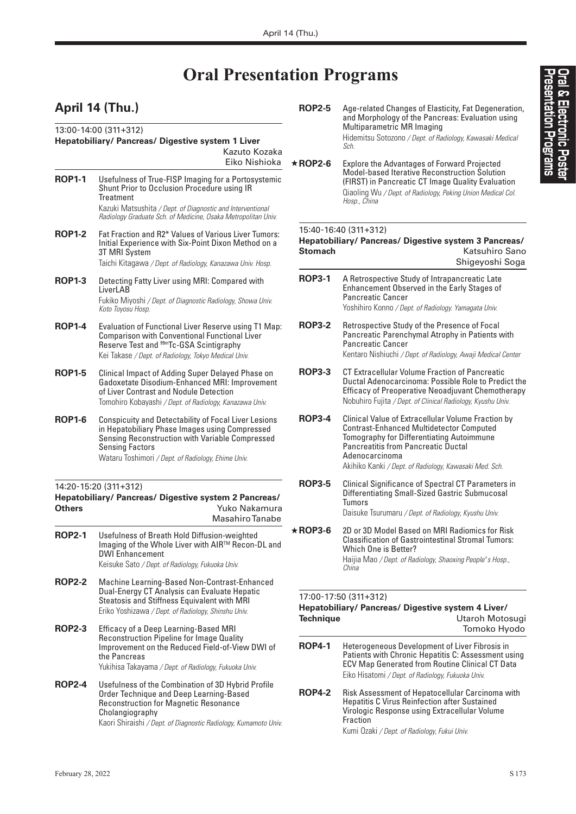# **Oral Presentation Programs**

# **April 14 (Thu.)**

|               | Eiko Nishioka                                                                                                                                                                                                               |
|---------------|-----------------------------------------------------------------------------------------------------------------------------------------------------------------------------------------------------------------------------|
| <b>ROP1-1</b> | Usefulness of True-FISP Imaging for a Portosystemic<br>Shunt Prior to Occlusion Procedure using IR<br>Treatment<br>Kazuki Matsushita / Dept. of Diagnostic and Interventional                                               |
|               | Radiology Graduate Sch. of Medicine, Osaka Metropolitan Univ.                                                                                                                                                               |
| <b>ROP1-2</b> | Fat Fraction and R2* Values of Various Liver Tumors:<br>Initial Experience with Six-Point Dixon Method on a<br>3T MRI System                                                                                                |
|               | Taichi Kitagawa / Dept. of Radiology, Kanazawa Univ. Hosp.                                                                                                                                                                  |
| <b>ROP1-3</b> | Detecting Fatty Liver using MRI: Compared with<br>LiverLAB<br>Fukiko Miyoshi / Dept. of Diagnostic Radiology, Showa Univ.<br>Koto Toyosu Hosp.                                                                              |
| <b>ROP1-4</b> | Evaluation of Functional Liver Reserve using T1 Map:<br><b>Comparison with Conventional Functional Liver</b><br>Reserve Test and <sup>99m</sup> Tc-GSA Scintigraphy<br>Kei Takase / Dept. of Radiology, Tokyo Medical Univ. |
| <b>ROP1-5</b> | Clinical Impact of Adding Super Delayed Phase on<br>Gadoxetate Disodium-Enhanced MRI: Improvement<br>of Liver Contrast and Nodule Detection<br>Tomohiro Kobayashi / Dept. of Radiology, Kanazawa Univ.                      |
| ROP1-6        | <b>Conspicuity and Detectability of Focal Liver Lesions</b><br>in Hepatobiliary Phase Images using Compressed<br>Sensing Reconstruction with Variable Compressed                                                            |
|               | <b>Sensing Factors</b><br>Wataru Toshimori / Dept. of Radiology, Ehime Univ.                                                                                                                                                |
| Others        | 14:20-15:20 (311+312)<br>Hepatobiliary/ Pancreas/ Digestive system 2 Pancreas/<br>Yuko Nakamura<br><b>Masahiro Tanabe</b>                                                                                                   |
| <b>ROP2-1</b> | Usefulness of Breath Hold Diffusion-weighted<br>Imaging of the Whole Liver with AIR™ Recon-DL and<br><b>DWI Enhancement</b><br>Keisuke Sato / Dept. of Radiology, Fukuoka Univ.                                             |
| <b>ROP2-2</b> | Machine Learning-Based Non-Contrast-Enhanced<br>Dual-Energy CT Analysis can Evaluate Hepatic<br>Steatosis and Stiffness Equivalent with MRI<br>Eriko Yoshizawa / Dept. of Radiology, Shinshu Univ.                          |
| <b>ROP2-3</b> | Efficacy of a Deep Learning-Based MRI<br>Reconstruction Pipeline for Image Quality<br>Improvement on the Reduced Field-of-View DWI of<br>the Pancreas<br>Yukihisa Takayama / Dept. of Radiology, Fukuoka Univ.              |

- **ROP2-5** Age-related Changes of Elasticity, Fat Degeneration, and Morphology of the Pancreas: Evaluation using Multiparametric MR Imaging Hidemitsu Sotozono */ Dept. of Radiology, Kawasaki Medical Sch.*
- ★**ROP2-6** Explore the Advantages of Forward Projected Model-based Iterative Reconstruction Solution (FIRST) in Pancreatic CT Image Quality Evaluation Qiaoling Wu */ Dept. of Radiology, Peking Union Medical Col. Hosp., China*

# 15:40-16:40 (311+312)

## **Hepatobiliary/ Pancreas/ Digestive system 3 Pancreas/ Katsuhiro Sano** Shigeyoshi Soga

| <b>ROP3-1</b>  | A Retrospective Study of Intrapancreatic Late<br>Enhancement Observed in the Early Stages of<br><b>Pancreatic Cancer</b><br>Yoshihiro Konno / Dept. of Radiology. Yamagata Univ.                                                                                             |
|----------------|------------------------------------------------------------------------------------------------------------------------------------------------------------------------------------------------------------------------------------------------------------------------------|
| <b>ROP3-2</b>  | Retrospective Study of the Presence of Focal<br>Pancreatic Parenchymal Atrophy in Patients with<br><b>Pancreatic Cancer</b><br>Kentaro Nishiuchi / Dept. of Radiology, Awaji Medical Center                                                                                  |
| <b>ROP3-3</b>  | CT Extracellular Volume Fraction of Pancreatic<br>Ductal Adenocarcinoma: Possible Role to Predict the<br><b>Efficacy of Preoperative Neoadjuvant Chemotherapy</b><br>Nobuhiro Fujita / Dept. of Clinical Radiology, Kyushu Univ.                                             |
| <b>ROP3-4</b>  | Clinical Value of Extracellular Volume Fraction by<br><b>Contrast-Enhanced Multidetector Computed</b><br>Tomography for Differentiating Autoimmune<br><b>Pancreatitis from Pancreatic Ductal</b><br>Adenocarcinoma<br>Akihiko Kanki / Dept. of Radiology, Kawasaki Med. Sch. |
| <b>ROP3-5</b>  | Clinical Significance of Spectral CT Parameters in<br>Differentiating Small-Sized Gastric Submucosal<br>Tumors<br>Daisuke Tsurumaru / Dept. of Radiology, Kyushu Univ.                                                                                                       |
| $\star$ ROP3-6 | 2D or 3D Model Based on MRI Radiomics for Risk<br><b>Classification of Gastrointestinal Stromal Tumors:</b><br>Which One is Better?<br>Haijia Mao / Dept. of Radiology, Shaoxing People's Hosp.,<br>China                                                                    |
| Technique      | 17:00-17:50 (311+312)<br>Hepatobiliary/ Pancreas/ Digestive system 4 Liver/<br>Utaroh Motosugi<br>Tomoko Hyodo                                                                                                                                                               |
| <b>ROP4-1</b>  | Heterogeneous Development of Liver Fibrosis in<br>Patients with Chronic Hepatitis C: Assessment using<br><b>ECV Map Generated from Routine Clinical CT Data</b><br>Eiko Hisatomi / Dept. of Radiology, Fukuoka Univ.                                                         |
| <b>ROP4-2</b>  | Risk Assessment of Hepatocellular Carcinoma with<br><b>Hepatitis C Virus Reinfection after Sustained</b><br>Virologic Response using Extracellular Volume<br>Fraction<br>Kumi Ozaki / Dept. of Radiology, Fukui Univ.                                                        |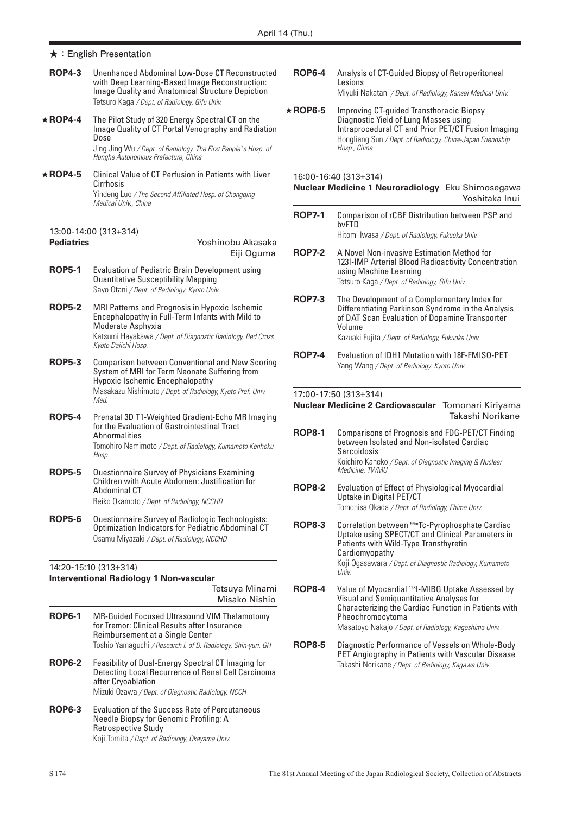- **ROP4-3** Unenhanced Abdominal Low-Dose CT Reconstructed with Deep Learning-Based Image Reconstruction: Image Quality and Anatomical Structure Depiction Tetsuro Kaga */ Dept. of Radiology, Gifu Univ.*
- ★**ROP4-4** The Pilot Study of 320 Energy Spectral CT on the Image Quality of CT Portal Venography and Radiation Dose Jing Jing Wu */ Dept. of Radiology. The First People* '*s Hosp. of*

*Honghe Autonomous Prefecture, China*

★**ROP4-5** Clinical Value of CT Perfusion in Patients with Liver **Cirrhosis** Yindeng Luo */ The Second Affiliated Hosp. of Chongqing Medical Univ., China*

# 13:00-14:00 (313+314) **Pediatrics** Yoshinobu Akasaka

# Eiji Oguma

- **ROP5-1** Evaluation of Pediatric Brain Development using Quantitative Susceptibility Mapping Sayo Otani */ Dept. of Radiology. Kyoto Univ.*
- **ROP5-2** MRI Patterns and Prognosis in Hypoxic Ischemic Encephalopathy in Full-Term Infants with Mild to Moderate Asphyxia Katsumi Hayakawa */ Dept. of Diagnostic Radiology, Red Cross Kyoto Daiichi Hosp.*
- **ROP5-3** Comparison between Conventional and New Scoring System of MRI for Term Neonate Suffering from Hypoxic Ischemic Encephalopathy Masakazu Nishimoto */ Dept. of Radiology, Kyoto Pref. Univ. Med.*
- **ROP5-4** Prenatal 3D T1-Weighted Gradient-Echo MR Imaging for the Evaluation of Gastrointestinal Tract **Ahnormalities** Tomohiro Namimoto */ Dept. of Radiology, Kumamoto Kenhoku Hosp.*
- **ROP5-5** Questionnaire Survey of Physicians Examining Children with Acute Abdomen: Justification for Abdominal CT Reiko Okamoto */ Dept. of Radiology, NCCHD*
- **ROP5-6** Questionnaire Survey of Radiologic Technologists: Optimization Indicators for Pediatric Abdominal CT Osamu Miyazaki */ Dept. of Radiology, NCCHD*

## 14:20-15:10 (313+314)

#### **Interventional Radiology 1 Non-vascular**

Tetsuya Minami Misako Nishio

- **ROP6-1** MR-Guided Focused Ultrasound VIM Thalamotomy for Tremor: Clinical Results after Insurance Reimbursement at a Single Center Toshio Yamaguchi */ Research I. of D. Radiology, Shin-yuri. GH*
- **ROP6-2** Feasibility of Dual-Energy Spectral CT Imaging for Detecting Local Recurrence of Renal Cell Carcinoma after Cryoablation Mizuki Ozawa */ Dept. of Diagnostic Radiology, NCCH*
- **ROP6-3** Evaluation of the Success Rate of Percutaneous Needle Biopsy for Genomic Profiling: A Retrospective Study Koji Tomita */ Dept. of Radiology, Okayama Univ.*
- **ROP6-4** Analysis of CT-Guided Biopsy of Retroperitoneal **Lesions** Miyuki Nakatani */ Dept. of Radiology, Kansai Medical Univ.*
- ★**ROP6-5** Improving CT-guided Transthoracic Biopsy Diagnostic Yield of Lung Masses using Intraprocedural CT and Prior PET/CT Fusion Imaging Hongliang Sun */ Dept. of Radiology, China-Japan Friendship Hosp., China*

# 16:00-16:40 (313+314)

#### **Nuclear Medicine 1 Neuroradiology** Eku Shimosegawa Yoshitaka Inui

**ROP7-1** Comparison of rCBF Distribution between PSP and bvFTD

Hitomi Iwasa */ Dept. of Radiology, Fukuoka Univ.*

- **ROP7-2** A Novel Non-invasive Estimation Method for 123I-IMP Arterial Blood Radioactivity Concentration using Machine Learning Tetsuro Kaga */ Dept. of Radiology, Gifu Univ.*
- **ROP7-3** The Development of a Complementary Index for Differentiating Parkinson Syndrome in the Analysis of DAT Scan Evaluation of Dopamine Transporter Volume Kazuaki Fujita */ Dept. of Radiology, Fukuoka Univ.*
- **ROP7-4** Evaluation of IDH1 Mutation with 18F-FMISO-PET Yang Wang */ Dept. of Radiology. Kyoto Univ.*

### 17:00-17:50 (313+314)

### **Nuclear Medicine 2 Cardiovascular** Tomonari Kiriyama Takashi Norikane

- **ROP8-1** Comparisons of Prognosis and FDG-PET/CT Finding between Isolated and Non-isolated Cardiac Sarcoidosis Koichiro Kaneko */ Dept. of Diagnostic Imaging & Nuclear Medicine, TWMU*
- **ROP8-2** Evaluation of Effect of Physiological Myocardial Uptake in Digital PET/CT Tomohisa Okada */ Dept. of Radiology, Ehime Univ.*
- **ROP8-3** Correlation between  $99m$ Tc-Pyrophosphate Cardiac Uptake using SPECT/CT and Clinical Parameters in Patients with Wild-Type Transthyretin Cardiomyopathy Koji Ogasawara */ Dept. of Diagnostic Radiology, Kumamoto Univ.*
- **ROP8-4** Value of Myocardial <sup>123</sup>I-MIBG Uptake Assessed by Visual and Semiquantitative Analyses for Characterizing the Cardiac Function in Patients with Pheochromocytoma Masatoyo Nakajo */ Dept. of Radiology, Kagoshima Univ.*
- **ROP8-5** Diagnostic Performance of Vessels on Whole-Body PET Angiography in Patients with Vascular Disease Takashi Norikane */ Dept. of Radiology, Kagawa Univ.*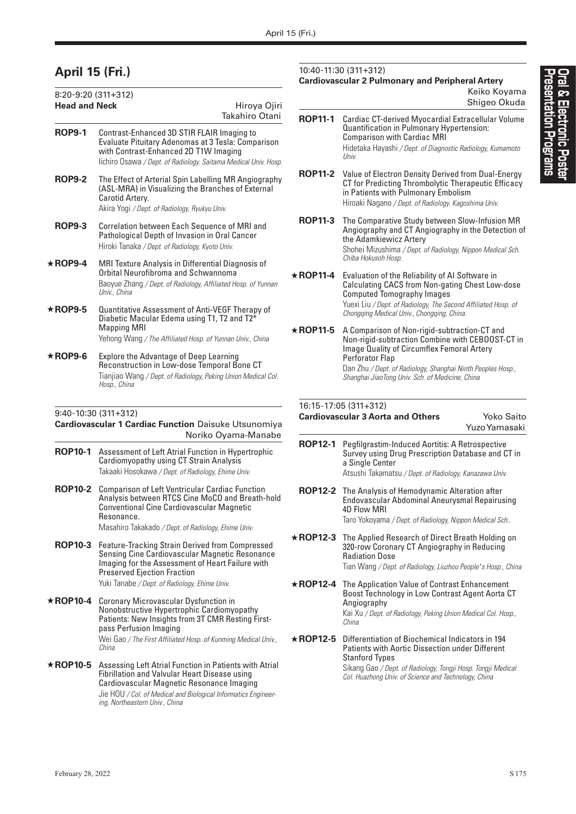# **April 15 (Fri.)**

| 8:20-9:20 (311+312)  |                                                                                                                                                                                                              |                                |
|----------------------|--------------------------------------------------------------------------------------------------------------------------------------------------------------------------------------------------------------|--------------------------------|
| <b>Head and Neck</b> |                                                                                                                                                                                                              | Hiroya Ojiri<br>Takahiro Otani |
| <b>ROP9-1</b>        | Contrast-Enhanced 3D STIR FLAIR Imaging to<br>Evaluate Pituitary Adenomas at 3 Tesla: Comparison<br>with Contrast-Enhanced 2D T1W Imaging<br>lichiro Osawa / Dept. of Radiology. Saitama Medical Univ. Hosp. |                                |
| <b>ROP9-2</b>        | The Effect of Arterial Spin Labelling MR Angiography<br>(ASL-MRA) in Visualizing the Branches of External<br>Carotid Artery.<br>Akira Yogi / Dept. of Radiology, Ryukyu Univ.                                |                                |
| <b>ROP9-3</b>        | Correlation between Each Sequence of MRI and<br>Pathological Depth of Invasion in Oral Cancer<br>Hiroki Tanaka / Dept. of Radiology, Kyoto Univ.                                                             |                                |
| $\star$ ROP9-4       | MRI Texture Analysis in Differential Diagnosis of<br>Orbital Neurofibroma and Schwannoma<br>Baoyue Zhang / Dept. of Radiology, Affiliated Hosp. of Yunnan<br>Univ., China                                    |                                |
| $\star$ ROP9-5       | Quantitative Assessment of Anti-VEGF Therapy of<br>Diabetic Macular Edema using T1, T2 and T2*<br><b>Mapping MRI</b><br>Yehong Wang / The Affiliated Hosp. of Yunnan Univ., China                            |                                |
| $\star$ ROP9-6       | <b>Explore the Advantage of Deep Learning</b><br>Reconstruction in Low-dose Temporal Bone CT<br>Tianjiao Wang / Dept. of Radiology, Peking Union Medical Col.<br>Hosp., China                                |                                |

## 9:40-10:30 (311+312)

### **Cardiovascular 1 Cardiac Function** Daisuke Utsunomiya Noriko Oyama-Manabe

- **ROP10-1** Assessment of Left Atrial Function in Hypertrophic Cardiomyopathy using CT Strain Analysis Takaaki Hosokawa */ Dept. of Radiology, Ehime Univ.*
- **ROP10-2** Comparison of Left Ventricular Cardiac Function Analysis between RTCS Cine MoCO and Breath-hold Conventional Cine Cardiovascular Magnetic Resonance. Masahiro Takakado */ Dept. of Radiology, Ehime Univ.*
- **ROP10-3** Feature-Tracking Strain Derived from Compressed Sensing Cine Cardiovascular Magnetic Resonance Imaging for the Assessment of Heart Failure with Preserved Ejection Fraction Yuki Tanabe */ Dept. of Radiology, Ehime Univ.*
- ★**ROP10-4** Coronary Microvascular Dysfunction in Nonobstructive Hypertrophic Cardiomyopathy Patients: New Insights from 3T CMR Resting Firstpass Perfusion Imaging Wei Gao */ The First Affiliated Hosp. of Kunming Medical Univ., China*
- ★**ROP10-5** Assessing Left Atrial Function in Patients with Atrial Fibrillation and Valvular Heart Disease using Cardiovascular Magnetic Resonance Imaging Jie HOU */ Col. of Medical and Biological Informatics Engineering, Northeastern Univ., China*

### 10:40-11:30 (311+312)

## **Cardiovascular 2 Pulmonary and Peripheral Artery**

Keiko Koyama Shigeo Okuda

| <b>ROP11-1</b> | Cardiac CT-derived Myocardial Extracellular Volume<br>Quantification in Pulmonary Hypertension:<br><b>Comparison with Cardiac MRI</b><br>Hidetaka Hayashi / Dept. of Diagnostic Radiology, Kumamoto<br>Univ. |
|----------------|--------------------------------------------------------------------------------------------------------------------------------------------------------------------------------------------------------------|
|                |                                                                                                                                                                                                              |

- **ROP11-2** Value of Electron Density Derived from Dual-Energy CT for Predicting Thrombolytic Therapeutic Efficacy in Patients with Pulmonary Embolism Hiroaki Nagano */ Dept. of Radiology. Kagoshima Univ.*
- **ROP11-3** The Comparative Study between Slow-Infusion MR Angiography and CT Angiography in the Detection of the Adamkiewicz Artery

Shohei Mizushima */ Dept. of Radiology, Nippon Medical Sch. Chiba Hokusoh Hosp.*

- ★**ROP11-4** Evaluation of the Reliability of AI Software in Calculating CACS from Non-gating Chest Low-dose Computed Tomography Images Yuexi Liu */ Dept. of Radiology, The Second Affiliated Hosp. of Chongqing Medical Univ., Chongqing, China.*
- ★**ROP11-5** A Comparison of Non-rigid-subtraction-CT and Non-rigid-subtraction Combine with CEBOOST-CT in Image Quality of Circumflex Femoral Artery Perforator Flap Dan Zhu */ Dept. of Radiology, Shanghai Ninth Peoples Hosp.,*

*Shanghai JiaoTong Univ. Sch. of Medicine, China*

### 16:15-17:05 (311+312)

| <b>Cardiovascular 3 Aorta and Others</b> | Yoko Saito    |
|------------------------------------------|---------------|
|                                          | Yuzo Yamasaki |
|                                          |               |

- **ROP12-1** Pegfilgrastim-Induced Aortitis: A Retrospective Survey using Drug Prescription Database and CT in a Single Center Atsushi Takamatsu */ Dept. of Radiology, Kanazawa Univ.*
- **ROP12-2** The Analysis of Hemodynamic Alteration after Endovascular Abdominal Aneurysmal Repairusing 4D Flow MRI Taro Yokoyama */ Dept. of Radiology, Nippon Medical Sch..*
- ★**ROP12-3** The Applied Research of Direct Breath Holding on 320-row Coronary CT Angiography in Reducing Radiation Dose Tian Wang */ Dept. of Radiology, Liuzhou People* '*s Hosp., China*
- ★**ROP12-4** The Application Value of Contrast Enhancement Boost Technology in Low Contrast Agent Aorta CT Angiography Kai Xu */ Dept. of Radiology, Peking Union Medical Col. Hosp., China*
- ★**ROP12-5** Differentiation of Biochemical Indicators in 194 Patients with Aortic Dissection under Different Stanford Types

Sikang Gao */ Dept. of Radiology, Tongji Hosp. Tongji Medical Col. Huazhong Univ. of Science and Technology, China*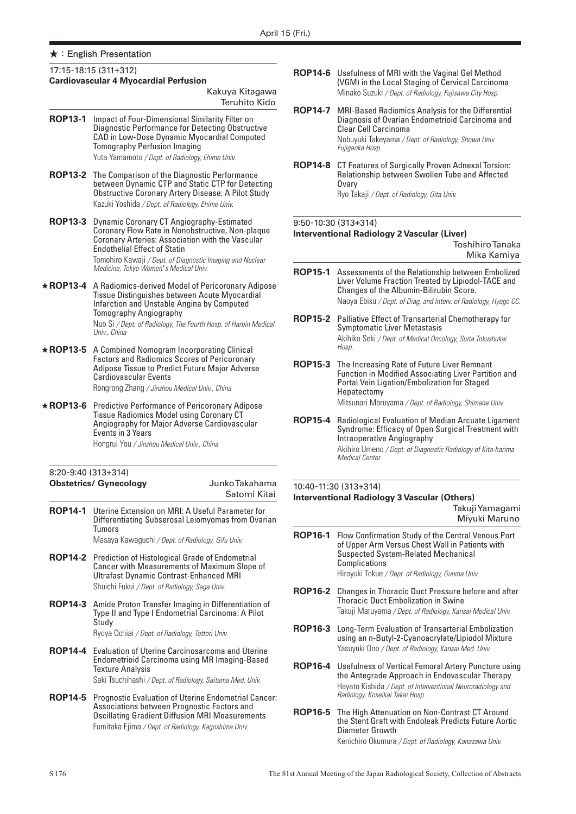#### 17:15-18:15 (311+312)

#### **Cardiovascular 4 Myocardial Perfusion**

|                 | Kakuya Kitagawa<br>Teruhito Kido                                                                                                                                                                                                                                                               |  |  |  |  |
|-----------------|------------------------------------------------------------------------------------------------------------------------------------------------------------------------------------------------------------------------------------------------------------------------------------------------|--|--|--|--|
| <b>ROP13-1</b>  | Impact of Four-Dimensional Similarity Filter on<br>Diagnostic Performance for Detecting Obstructive<br>CAD in Low-Dose Dynamic Myocardial Computed<br><b>Tomography Perfusion Imaging</b><br>Yuta Yamamoto / Dept. of Radiology, Ehime Univ.                                                   |  |  |  |  |
| <b>ROP13-2</b>  | The Comparison of the Diagnostic Performance<br>between Dynamic CTP and Static CTP for Detecting<br>Obstructive Coronary Artery Disease: A Pilot Study<br>Kazuki Yoshida / Dept. of Radiology, Ehime Univ.                                                                                     |  |  |  |  |
| <b>ROP13-3</b>  | Dynamic Coronary CT Angiography-Estimated<br>Coronary Flow Rate in Nonobstructive, Non-plaque<br>Coronary Arteries: Association with the Vascular<br><b>Endothelial Effect of Statin</b><br>Tomohiro Kawaji / Dept. of Diagnostic Imaging and Nuclear<br>Medicine, Tokyo Women's Medical Univ. |  |  |  |  |
| <b>★ROP13-4</b> | A Radiomics-derived Model of Pericoronary Adipose<br>Tissue Distinguishes between Acute Myocardial<br>Infarction and Unstable Angina by Computed<br><b>Tomography Angiography</b><br>Nuo Si / Dept. of Radiology, The Fourth Hosp. of Harbin Medical<br>Univ., China                           |  |  |  |  |
| <b>★ROP13-5</b> | A Combined Nomogram Incorporating Clinical<br><b>Factors and Radiomics Scores of Pericoronary</b><br>Adipose Tissue to Predict Future Major Adverse<br><b>Cardiovascular Events</b><br>Rongrong Zhang / Jinzhou Medical Univ., China                                                           |  |  |  |  |
| <b>★ROP13-6</b> | Predictive Performance of Pericoronary Adipose<br><b>Tissue Radiomics Model using Coronary CT</b><br>Angiography for Major Adverse Cardiovascular<br>Events in 3 Years<br>Hongrui You / Jinzhou Medical Univ., China                                                                           |  |  |  |  |
|                 | 8:20-9:40 (313+314)<br>Junko Takahama<br><b>Obstetrics/ Gynecology</b><br>Satomi Kitai                                                                                                                                                                                                         |  |  |  |  |
| <b>ROP14-1</b>  | Uterine Extension on MRI: A Useful Parameter for<br>Differentiating Subserosal Leiomyomas from Ovarian<br>Tumors<br>Masaya Kawaguchi / Dept. of Radiology, Gifu Univ.                                                                                                                          |  |  |  |  |
| <b>ROP14-2</b>  | Prediction of Histological Grade of Endometrial<br>Cancer with Measurements of Maximum Slope of<br><b>Ultrafast Dynamic Contrast-Enhanced MRI</b><br>Shuichi Fukui / Dept. of Radiology, Saga Univ.                                                                                            |  |  |  |  |
| <b>ROP14-3</b>  | Amide Proton Transfer Imaging in Differentiation of<br>Type II and Type I Endometrial Carcinoma: A Pilot<br>Studv<br>Ryoya Ochiai / Dept. of Radiology, Tottori Univ.                                                                                                                          |  |  |  |  |
| <b>ROP14-4</b>  | <b>Evaluation of Uterine Carcinosarcoma and Uterine</b><br><b>Endometrioid Carcinoma using MR Imaging-Based</b><br><b>Texture Analysis</b><br>Saki Tsuchihashi / Dept. of Radiology, Saitama Med. Univ.                                                                                        |  |  |  |  |
| <b>ROP14-5</b>  | Prognostic Evaluation of Uterine Endometrial Cancer:<br>Associations between Prognostic Factors and<br><b>Oscillating Gradient Diffusion MRI Measurements</b>                                                                                                                                  |  |  |  |  |

Fumitaka Ejima */ Dept. of Radiology, Kagoshima Univ.*

- **ROP14-6** Usefulness of MRI with the Vaginal Gel Method (VGM) in the Local Staging of Cervical Carcinoma Minako Suzuki */ Dept. of Radiology, Fujisawa City Hosp.*
- **ROP14-7** MRI-Based Radiomics Analysis for the Differential Diagnosis of Ovarian Endometrioid Carcinoma and Clear Cell Carcinoma Nobuyuki Takeyama */ Dept. of Radiology, Showa Univ. Fujigaoka Hosp.*
- **ROP14-8** CT Features of Surgically Proven Adnexal Torsion: Relationship between Swollen Tube and Affected **Ovary** Ryo Takaji */ Dept. of Radiology, Oita Univ.*

# 9:50-10:30 (313+314)

**Interventional Radiology 2 Vascular (Liver)** 

Toshihiro Tanaka Mika Kamiya

- **ROP15-1** Assessments of the Relationship between Embolized Liver Volume Fraction Treated by Lipiodol-TACE and Changes of the Albumin-Bilirubin Score. Naoya Ebisu */ Dept. of Diag. and Interv. of Radiology, Hyogo CC.*
- **ROP15-2** Palliative Effect of Transarterial Chemotherapy for Symptomatic Liver Metastasis Akihiko Seki */ Dept. of Medical Oncology, Suita Tokushukai Hosp.*
- **ROP15-3** The Increasing Rate of Future Liver Remnant Function in Modified Associating Liver Partition and Portal Vein Ligation/Embolization for Staged Hepatectomy Mitsunari Maruyama */ Dept. of Radiology, Shimane Univ.*
- **ROP15-4** Radiological Evaluation of Median Arcuate Ligament Syndrome: Efficacy of Open Surgical Treatment with Intraoperative Angiography Akihiro Umeno */ Dept. of Diagnostic Radiology of Kita-harima Medical Center*

### 10:40-11:30 (313+314) **Interventional Radiology 3 Vascular (Others)**  Takuji Yamagami

Miyuki Maruno

- **ROP16-1** Flow Confirmation Study of the Central Venous Port of Upper Arm Versus Chest Wall in Patients with Suspected System-Related Mechanical **Complications** Hiroyuki Tokue */ Dept. of Radiology, Gunma Univ.*
- **ROP16-2** Changes in Thoracic Duct Pressure before and after Thoracic Duct Embolization in Swine Takuji Maruyama */ Dept. of Radiology, Kansai Medical Univ.*
- **ROP16-3** Long-Term Evaluation of Transarterial Embolization using an n-Butyl-2-Cyanoacrylate/Lipiodol Mixture Yasuyuki Ono */ Dept. of Radiology, Kansai Med. Univ.*
- **ROP16-4** Usefulness of Vertical Femoral Artery Puncture using the Antegrade Approach in Endovascular Therapy Hayato Kishida */ Dept. of Interventional Neuroradiology and Radiology, Koseikai Takai Hosp.*
- **ROP16-5** The High Attenuation on Non-Contrast CT Around the Stent Graft with Endoleak Predicts Future Aortic Diameter Growth Kenichiro Okumura */ Dept. of Radiology, Kanazawa Univ.*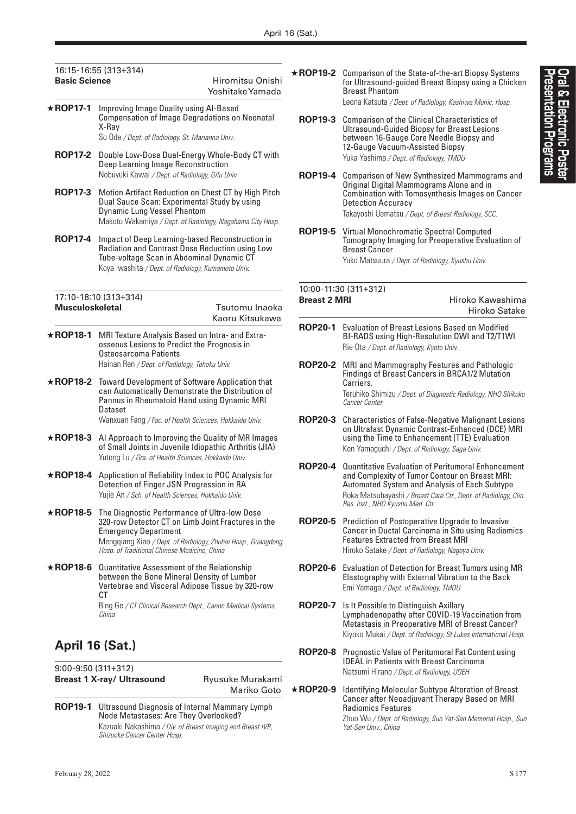| : |  |
|---|--|
| ī |  |
|   |  |

# 16:15-16:55 (313+314) **Basic Science Hiromitsu Onishi** Yoshitake Yamada ★**ROP17-1** Improving Image Quality using AI-Based Compensation of Image Degradations on Neonatal X-Ray So Ode */ Dept. of Radiology. St. Marianna Univ.* **ROP17-2** Double Low-Dose Dual-Energy Whole-Body CT with Deep Learning Image Reconstruction Nobuyuki Kawai */ Dept. of Radiology, Gifu Univ.* **ROP17-3** Motion Artifact Reduction on Chest CT by High Pitch Dual Sauce Scan: Experimental Study by using Dynamic Lung Vessel Phantom Makoto Wakamiya */ Dept. of Radiology, Nagahama City Hosp.* **ROP17-4** Impact of Deep Learning-based Reconstruction in Radiation and Contrast Dose Reduction using Low Tube-voltage Scan in Abdominal Dynamic CT Koya Iwashita */ Dept. of Radiology, Kumamoto Univ.* 17:10-18:10 (313+314) **Musculoskeletal** Tsutomu Inaoka Kaoru Kitsukawa

- ★**ROP18-1** MRI Texture Analysis Based on Intra- and Extraosseous Lesions to Predict the Prognosis in Osteosarcoma Patients Hainan Ren */ Dept. of Radiology, Tohoku Univ.*
- ★**ROP18-2** Toward Development of Software Application that can Automatically Demonstrate the Distribution of Pannus in Rheumatoid Hand using Dynamic MRI Dataset

Wanxuan Fang */ Fac. of Health Sciences, Hokkaido Univ.*

- ★**ROP18-3** AI Approach to Improving the Quality of MR Images of Small Joints in Juvenile Idiopathic Arthritis (JIA) Yutong Lu */ Gra. of Health Sciences, Hokkaido Univ.*
- ★**ROP18-4** Application of Reliability Index to POC Analysis for Detection of Finger JSN Progression in RA Yujie An */ Sch. of Health Sciences, Hokkaido Univ.*
- ★**ROP18-5** The Diagnostic Performance of Ultra-low Dose 320-row Detector CT on Limb Joint Fractures in the Emergency Department

Mengqiang Xiao */ Dept. of Radiology, Zhuhai Hosp., Guangdong Hosp. of Traditional Chinese Medicine, China*

★**ROP18-6** Quantitative Assessment of the Relationship between the Bone Mineral Density of Lumbar Vertebrae and Visceral Adipose Tissue by 320-row C<sub>T</sub> Bing Ge */ CT Clinical Research Dept., Canon Medical Systems, China*

# **April 16 (Sat.)**

9:00-9:50 (311+312) **Breast 1 X-ray/ Ultrasound Breast 1 X-ray/ Ultrasound Ryusuke Murakami** 

Mariko Goto

**ROP19-1** Ultrasound Diagnosis of Internal Mammary Lymph Node Metastases: Are They Overlooked? Kazuaki Nakashima */ Div. of Breast Imaging and Breast IVR, Shizuoka Cancer Center Hosp.*

★**ROP19-2** Comparison of the State-of-the-art Biopsy Systems for Ultrasound-guided Breast Biopsy using a Chicken Breast Phantom

Leona Katsuta */ Dept. of Radiology, Kashiwa Munic. Hosp.*

- **ROP19-3** Comparison of the Clinical Characteristics of Ultrasound-Guided Biopsy for Breast Lesions between 16-Gauge Core Needle Biopsy and 12-Gauge Vacuum-Assisted Biopsy Yuka Yashima */ Dept. of Radiology, TMDU*
- **ROP19-4** Comparison of New Synthesized Mammograms and Original Digital Mammograms Alone and in Combination with Tomosynthesis Images on Cancer Detection Accuracy Takayoshi Uematsu */ Dept. of Breast Radiology, SCC.*
- **ROP19-5** Virtual Monochromatic Spectral Computed Tomography Imaging for Preoperative Evaluation of Breast Cancer Yuko Matsuura */ Dept. of Radiology, Kyushu Univ.*

# 10:00-11:30 (311+312)

**Breast 2 MRI Hiroko Kawashima** Hiroko Satake

- **ROP20-1** Evaluation of Breast Lesions Based on Modified BI-RADS using High-Resolution DWI and T2/T1WI Rie Ota */ Dept. of Radiology, Kyoto Univ.*
- **ROP20-2** MRI and Mammography Features and Pathologic Findings of Breast Cancers in BRCA1/2 Mutation Carriers. Teruhiko Shimizu */ Dept. of Diagnostic Radiology, NHO Shikoku Cancer Center*
- **ROP20-3** Characteristics of False-Negative Malignant Lesions on Ultrafast Dynamic Contrast-Enhanced (DCE) MRI using the Time to Enhancement (TTE) Evaluation Ken Yamaguchi */ Dept. of Radiology, Saga Univ.*
- **ROP20-4** Quantitative Evaluation of Peritumoral Enhancement and Complexity of Tumor Contour on Breast MRI: Automated System and Analysis of Each Subtype Roka Matsubayashi */ Breast Care Ctr., Dept. of Radiology, Clin. Res. Inst., NHO Kyushu Med. Ctr.*
- **ROP20-5** Prediction of Postoperative Upgrade to Invasive Cancer in Ductal Carcinoma in Situ using Radiomics Features Extracted from Breast MRI Hiroko Satake */ Dept. of Radiology, Nagoya Univ.*
- **ROP20-6** Evaluation of Detection for Breast Tumors using MR Elastography with External Vibration to the Back Emi Yamaga */ Dept. of Radiology, TMDU*
- **ROP20-7** Is It Possible to Distinguish Axillary Lymphadenopathy after COVID-19 Vaccination from Metastasis in Preoperative MRI of Breast Cancer? Kiyoko Mukai */ Dept. of Radiology, St Lukes International Hosp.*
- **ROP20-8** Prognostic Value of Peritumoral Fat Content using IDEAL in Patients with Breast Carcinoma Natsumi Hirano */ Dept. of Radiology, UOEH*
- ★**ROP20-9** Identifying Molecular Subtype Alteration of Breast Cancer after Neoadjuvant Therapy Based on MRI Radiomics Features

Zhuo Wu */ Dept. of Radiology, Sun Yat-Sen Memorial Hosp., Sun Yat-Sen Univ., China*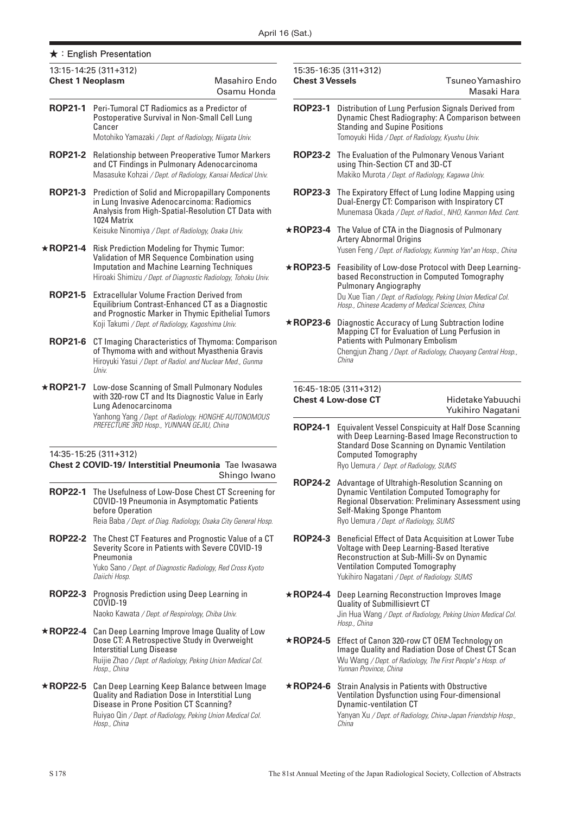| <b>Chest 1 Neoplasm</b>                                                                                                                     | 13:15-14:25 (311+312)                                                                                                                                                                                                      | Masahiro Endo<br>Osamu Honda | <b>Chest 3 Vessels</b> | 15:35-16:35 (311+312)                                                                                                                                                              | Tsuneo Yamashiro<br>Masaki Hara                                                                                 |
|---------------------------------------------------------------------------------------------------------------------------------------------|----------------------------------------------------------------------------------------------------------------------------------------------------------------------------------------------------------------------------|------------------------------|------------------------|------------------------------------------------------------------------------------------------------------------------------------------------------------------------------------|-----------------------------------------------------------------------------------------------------------------|
|                                                                                                                                             | <b>ROP21-1</b> Peri-Tumoral CT Radiomics as a Predictor of<br>Postoperative Survival in Non-Small Cell Lung<br>Cancer<br>Motohiko Yamazaki / Dept. of Radiology, Niigata Univ.                                             |                              | <b>ROP23-1</b>         | <b>Standing and Supine Positions</b><br>Tomoyuki Hida / Dept. of Radiology, Kyushu Univ.                                                                                           | Distribution of Lung Perfusion Signals Derived from<br>Dynamic Chest Radiography: A Comparison between          |
| <b>ROP21-2</b>                                                                                                                              | Relationship between Preoperative Tumor Markers<br>and CT Findings in Pulmonary Adenocarcinoma<br>Masasuke Kohzai / Dept. of Radiology, Kansai Medical Univ.                                                               |                              | <b>ROP23-2</b>         | The Evaluation of the Pulmonary Venous Variant<br>using Thin-Section CT and 3D-CT<br>Makiko Murota / Dept. of Radiology, Kagawa Univ.                                              |                                                                                                                 |
| <b>ROP21-3</b>                                                                                                                              | <b>Prediction of Solid and Micropapillary Components</b><br>in Lung Invasive Adenocarcinoma: Radiomics<br>Analysis from High-Spatial-Resolution CT Data with<br>1024 Matrix                                                |                              | <b>ROP23-3</b>         | Dual-Energy CT: Comparison with Inspiratory CT                                                                                                                                     | The Expiratory Effect of Lung lodine Mapping using<br>Munemasa Okada / Dept. of Radiol., NHO, Kanmon Med. Cent. |
|                                                                                                                                             | Keisuke Ninomiya / Dept. of Radiology, Osaka Univ.                                                                                                                                                                         |                              | $\star$ ROP23-4        | The Value of CTA in the Diagnosis of Pulmonary<br><b>Artery Abnormal Origins</b>                                                                                                   |                                                                                                                 |
| <b>★ROP21-4</b>                                                                                                                             | <b>Risk Prediction Modeling for Thymic Tumor:</b>                                                                                                                                                                          |                              |                        |                                                                                                                                                                                    | Yusen Feng / Dept. of Radiology, Kunming Yan' an Hosp., China                                                   |
|                                                                                                                                             | Validation of MR Sequence Combination using<br>Imputation and Machine Learning Techniques<br>Hiroaki Shimizu / Dept. of Diagnostic Radiology, Tohoku Univ.                                                                 |                              | $\star$ ROP23-5        | based Reconstruction in Computed Tomography<br><b>Pulmonary Angiography</b>                                                                                                        | Feasibility of Low-dose Protocol with Deep Learning-                                                            |
| <b>ROP21-5</b>                                                                                                                              | <b>Extracellular Volume Fraction Derived from</b><br>Equilibrium Contrast-Enhanced CT as a Diagnostic<br>and Prognostic Marker in Thymic Epithelial Tumors                                                                 |                              |                        | Du Xue Tian / Dept. of Radiology, Peking Union Medical Col.<br>Hosp., Chinese Academy of Medical Sciences, China                                                                   |                                                                                                                 |
|                                                                                                                                             | Koji Takumi / Dept. of Radiology, Kagoshima Univ.                                                                                                                                                                          |                              | $\star$ ROP23-6        | Diagnostic Accuracy of Lung Subtraction Iodine<br>Mapping CT for Evaluation of Lung Perfusion in                                                                                   |                                                                                                                 |
| <b>ROP21-6</b>                                                                                                                              | CT Imaging Characteristics of Thymoma: Comparison<br>of Thymoma with and without Myasthenia Gravis<br>Hiroyuki Yasui / Dept. of Radiol. and Nuclear Med., Gunma<br>Univ.                                                   |                              |                        | <b>Patients with Pulmonary Embolism</b><br>China                                                                                                                                   | Chengjun Zhang / Dept. of Radiology, Chaoyang Central Hosp.,                                                    |
| <b>★ROP21-7</b><br>Low-dose Scanning of Small Pulmonary Nodules<br>with 320-row CT and Its Diagnostic Value in Early<br>Lung Adenocarcinoma |                                                                                                                                                                                                                            |                              |                        | 16:45-18:05 (311+312)<br><b>Chest 4 Low-dose CT</b><br>Hidetake Yabuuchi<br>Yukihiro Nagatani                                                                                      |                                                                                                                 |
|                                                                                                                                             | Yanhong Yang / Dept. of Radiology. HONGHE AUTONOMOUS<br>PREFECTURE 3RD Hosp., YUNNAN GEJIU, China<br>14:35-15:25 (311+312)<br>Chest 2 COVID-19/ Interstitial Pneumonia Tae Iwasawa                                         |                              |                        | <b>Standard Dose Scanning on Dynamic Ventilation</b><br><b>Computed Tomography</b><br>Ryo Uemura / Dept. of Radiology, SUMS                                                        | ROP24-1 Equivalent Vessel Conspicuity at Half Dose Scanning<br>with Deep Learning-Based Image Reconstruction to |
|                                                                                                                                             | ROP22-1 The Usefulness of Low-Dose Chest CT Screening for<br><b>COVID-19 Pneumonia in Asymptomatic Patients</b><br>before Operation<br>Reia Baba / Dept. of Diag. Radiology, Osaka City General Hosp.                      | Shingo Iwano                 |                        | <b>ROP24-2</b> Advantage of Ultrahigh-Resolution Scanning on<br>Dynamic Ventilation Computed Tomography for<br>Self-Making Sponge Phantom<br>Ryo Uemura / Dept. of Radiology, SUMS | Regional Observation: Preliminary Assessment using                                                              |
|                                                                                                                                             | ROP22-2 The Chest CT Features and Prognostic Value of a CT<br>Severity Score in Patients with Severe COVID-19<br>Pneumonia<br>Yuko Sano / Dept. of Diagnostic Radiology, Red Cross Kyoto<br>Daiichi Hosp.                  |                              | <b>ROP24-3</b>         | Voltage with Deep Learning-Based Iterative<br>Reconstruction at Sub-Milli-Sv on Dynamic<br><b>Ventilation Computed Tomography</b><br>Yukihiro Nagatani / Dept. of Radiology. SUMS  | Beneficial Effect of Data Acquisition at Lower Tube                                                             |
| <b>ROP22-3</b>                                                                                                                              | Prognosis Prediction using Deep Learning in<br>COVID-19                                                                                                                                                                    |                              | $\star$ ROP24-4        | Deep Learning Reconstruction Improves Image<br>Quality of Submillisievrt CT                                                                                                        |                                                                                                                 |
|                                                                                                                                             | Naoko Kawata / Dept. of Respirology, Chiba Univ.                                                                                                                                                                           |                              |                        | Hosp., China                                                                                                                                                                       | Jin Hua Wang / Dept. of Radiology, Peking Union Medical Col.                                                    |
|                                                                                                                                             | *ROP22-4 Can Deep Learning Improve Image Quality of Low<br>Dose CT: A Retrospective Study in Overweight<br><b>Interstitial Lung Disease</b><br>Ruijie Zhao / Dept. of Radiology, Peking Union Medical Col.<br>Hosp., China |                              | $\star$ ROP24-5        | Effect of Canon 320-row CT OEM Technology on<br>Wu Wang / Dept. of Radiology, The First People's Hosp. of<br>Yunnan Province, China                                                | Image Quality and Radiation Dose of Chest CT Scan                                                               |
| <b>★ROP22-5</b>                                                                                                                             | Can Deep Learning Keep Balance between Image<br>Quality and Radiation Dose in Interstitial Lung<br>Disease in Prone Position CT Scanning?<br>Ruiyao Qin / Dept. of Radiology, Peking Union Medical Col.<br>Hosp., China    |                              | $\star$ ROP24-6        | <b>Strain Analysis in Patients with Obstructive</b><br>Ventilation Dysfunction using Four-dimensional<br>Dynamic-ventilation CT<br>China                                           | Yanyan Xu / Dept. of Radiology, China-Japan Friendship Hosp.,                                                   |

# **Chest 4 Low-dose CT** Hidetake Yabuuchi

# Yukihiro Nagatani

- 24-1 Equivalent Vessel Conspicuity at Half Dose Scanning with Deep Learning-Based Image Reconstruction to Standard Dose Scanning on Dynamic Ventilation Computed Tomography Ryo Uemura */ Dept. of Radiology, SUMS*
- **ROP24-2** Advantage of Ultrahigh-Resolution Scanning on Dynamic Ventilation Computed Tomography for Regional Observation: Preliminary Assessment using Self-Making Sponge Phantom Ryo Uemura */ Dept. of Radiology, SUMS*
- 24-3 Beneficial Effect of Data Acquisition at Lower Tube Voltage with Deep Learning-Based Iterative Reconstruction at Sub-Milli-Sv on Dynamic Ventilation Computed Tomography Yukihiro Nagatani */ Dept. of Radiology. SUMS*
- 24-4 Deep Learning Reconstruction Improves Image Quality of Submillisievrt CT Jin Hua Wang */ Dept. of Radiology, Peking Union Medical Col. Hosp., China*
- 24-5 Effect of Canon 320-row CT OEM Technology on Image Quality and Radiation Dose of Chest CT Scan Wu Wang */ Dept. of Radiology, The First People* '*s Hosp. of Yunnan Province, China*
- 24-6 Strain Analysis in Patients with Obstructive Ventilation Dysfunction using Four-dimensional Dynamic-ventilation CT Yanyan Xu */ Dept. of Radiology, China-Japan Friendship Hosp., China*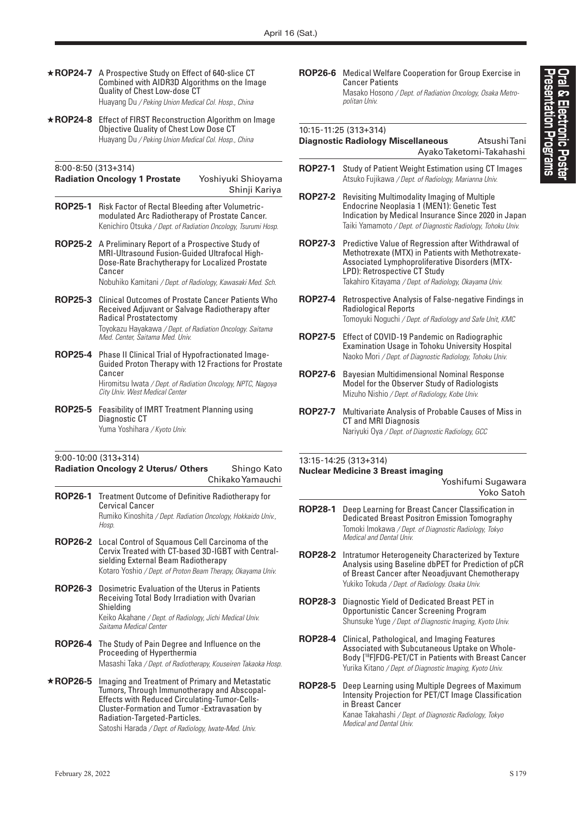- ★**ROP24-7** A Prospective Study on Effect of 640-slice CT Combined with AIDR3D Algorithms on the Image Quality of Chest Low-dose CT Huayang Du */ Peking Union Medical Col. Hosp., China*
- ★**ROP24-8** Effect of FIRST Reconstruction Algorithm on Image Objective Quality of Chest Low Dose CT Huayang Du */ Peking Union Medical Col. Hosp., China*

### 8:00-8:50 (313+314)

### **Radiation Oncology 1 Prostate** Yoshiyuki Shioyama Shinji Kariya

- **ROP25-1** Risk Factor of Rectal Bleeding after Volumetricmodulated Arc Radiotherapy of Prostate Cancer. Kenichiro Otsuka */ Dept. of Radiation Oncology, Tsurumi Hosp.*
- **ROP25-2** A Preliminary Report of a Prospective Study of MRI-Ultrasound Fusion-Guided Ultrafocal High-Dose-Rate Brachytherapy for Localized Prostate Cancer

Nobuhiko Kamitani */ Dept. of Radiology, Kawasaki Med. Sch.*

- **ROP25-3** Clinical Outcomes of Prostate Cancer Patients Who Received Adjuvant or Salvage Radiotherapy after Radical Prostatectomy Toyokazu Hayakawa */ Dept. of Radiation Oncology. Saitama Med. Center, Saitama Med. Univ.*
- **ROP25-4** Phase II Clinical Trial of Hypofractionated Image-Guided Proton Therapy with 12 Fractions for Prostate Cancer Hiromitsu Iwata */ Dept. of Radiation Oncology, NPTC, Nagoya City Univ. West Medical Center*
- **ROP25-5** Feasibility of IMRT Treatment Planning using Diagnostic CT Yuma Yoshihara */ Kyoto Univ.*

# 9:00-10:00 (313+314)

# **Radiation Oncology 2 Uterus/ Others** Shingo Kato Chikako Yamauchi

**ROP26-1** Treatment Outcome of Definitive Radiotherapy for Cervical Cancer Rumiko Kinoshita */ Dept. Radiation Oncology, Hokkaido Univ., Hosp.* **ROP26-2** Local Control of Squamous Cell Carcinoma of the Cervix Treated with CT-based 3D-IGBT with Centralsielding External Beam Radiotherapy Kotaro Yoshio */ Dept. of Proton Beam Therapy, Okayama Univ.* **ROP26-3** Dosimetric Evaluation of the Uterus in Patients Receiving Total Body Irradiation with Ovarian Shielding Keiko Akahane */ Dept. of Radiology, Jichi Medical Univ. Saitama Medical Center* **ROP26-4** The Study of Pain Degree and Influence on the Proceeding of Hyperthermia Masashi Taka */ Dept. of Radiotherapy, Kouseiren Takaoka Hosp.* ★**ROP26-5** Imaging and Treatment of Primary and Metastatic Tumors, Through Immunotherapy and Abscopal-Effects with Reduced Circulating-Tumor-Cells-Cluster-Formation and Tumor -Extravasation by Radiation-Targeted-Particles. Satoshi Harada */ Dept. of Radiology, Iwate-Med. Univ.*

**ROP26-6** Medical Welfare Cooperation for Group Exercise in Cancer Patients Masako Hosono */ Dept. of Radiation Oncology, Osaka Metropolitan Univ.*

### 10:15-11:25 (313+314)

### **Diagnostic Radiology Miscellaneous** Atsushi Tani

Ayako Taketomi-Takahashi

- **ROP27-1** Study of Patient Weight Estimation using CT Images Atsuko Fujikawa */ Dept. of Radiology, Marianna Univ.*
- **ROP27-2** Revisiting Multimodality Imaging of Multiple Endocrine Neoplasia 1 (MEN1): Genetic Test Indication by Medical Insurance Since 2020 in Japan Taiki Yamamoto */ Dept. of Diagnostic Radiology, Tohoku Univ.*
- **ROP27-3** Predictive Value of Regression after Withdrawal of Methotrexate (MTX) in Patients with Methotrexate-Associated Lymphoproliferative Disorders (MTX-LPD): Retrospective CT Study Takahiro Kitayama */ Dept. of Radiology, Okayama Univ.*
- **ROP27-4** Retrospective Analysis of False-negative Findings in Radiological Reports Tomoyuki Noguchi */ Dept. of Radiology and Safe Unit, KMC*
- **ROP27-5** Effect of COVID-19 Pandemic on Radiographic Examination Usage in Tohoku University Hospital Naoko Mori */ Dept. of Diagnostic Radiology, Tohoku Univ.*
- **ROP27-6** Bayesian Multidimensional Nominal Response Model for the Observer Study of Radiologists Mizuho Nishio */ Dept. of Radiology, Kobe Univ.*
- **ROP27-7** Multivariate Analysis of Probable Causes of Miss in CT and MRI Diagnosis Nariyuki Oya */ Dept. of Diagnostic Radiology, GCC*

## 13:15-14:25 (313+314) **Nuclear Medicine 3 Breast imaging**

Yoshifumi Sugawara Yoko Satoh

- **ROP28-1** Deep Learning for Breast Cancer Classification in Dedicated Breast Positron Emission Tomography Tomoki Imokawa */ Dept. of Diagnostic Radiology, Tokyo Medical and Dental Univ.*
- **ROP28-2** Intratumor Heterogeneity Characterized by Texture Analysis using Baseline dbPET for Prediction of pCR of Breast Cancer after Neoadjuvant Chemotherapy Yukiko Tokuda */ Dept. of Radiology. Osaka Univ.*
- **ROP28-3** Diagnostic Yield of Dedicated Breast PET in Opportunistic Cancer Screening Program Shunsuke Yuge */ Dept. of Diagnostic Imaging, Kyoto Univ.*
- **ROP28-4** Clinical, Pathological, and Imaging Features Associated with Subcutaneous Uptake on Whole-Body [18F]FDG-PET/CT in Patients with Breast Cancer Yurika Kitano */ Dept. of Diagnostic Imaging, Kyoto Univ.*
- **ROP28-5** Deep Learning using Multiple Degrees of Maximum Intensity Projection for PET/CT Image Classification in Breast Cancer Kanae Takahashi */ Dept. of Diagnostic Radiology, Tokyo Medical and Dental Univ.*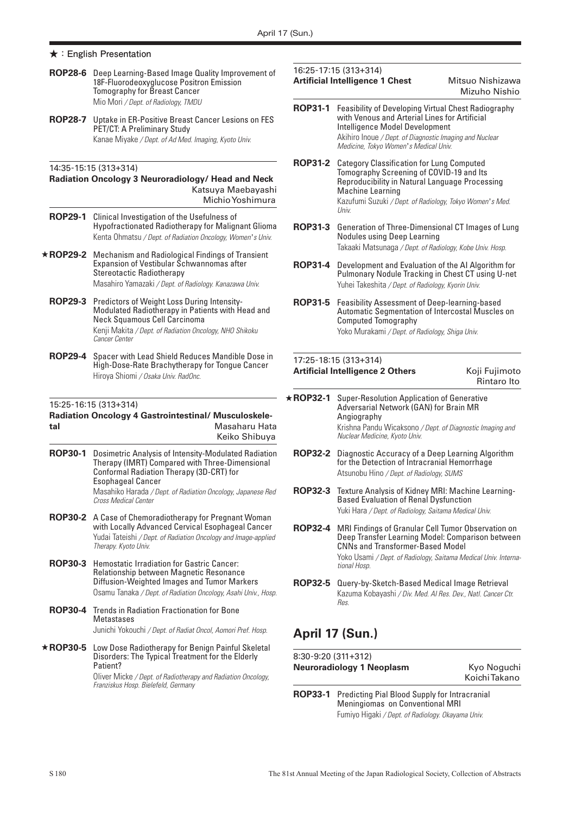- **ROP28-6** Deep Learning-Based Image Quality Improvement of 18F-Fluorodeoxyglucose Positron Emission Tomography for Breast Cancer Mio Mori */ Dept. of Radiology, TMDU*
- **ROP28-7** Uptake in ER-Positive Breast Cancer Lesions on FES PET/CT: A Preliminary Study Kanae Miyake */ Dept. of Ad Med. Imaging, Kyoto Univ.*

## 14:35-15:15 (313+314)

### **Radiation Oncology 3 Neuroradiology/ Head and Neck**  Katsuya Maebayashi Michio Yoshimura

- **ROP29-1** Clinical Investigation of the Usefulness of Hypofractionated Radiotherapy for Malignant Glioma Kenta Ohmatsu */ Dept. of Radiation Oncology, Women* '*s Univ.*
- ★**ROP29-2** Mechanism and Radiological Findings of Transient Expansion of Vestibular Schwannomas after Stereotactic Radiotherapy Masahiro Yamazaki */ Dept. of Radiology. Kanazawa Univ.*
	- **ROP29-3** Predictors of Weight Loss During Intensity-Modulated Radiotherapy in Patients with Head and Neck Squamous Cell Carcinoma Kenji Makita */ Dept. of Radiation Oncology, NHO Shikoku Cancer Center*
	- **ROP29-4** Spacer with Lead Shield Reduces Mandible Dose in High-Dose-Rate Brachytherapy for Tongue Cancer Hiroya Shiomi */ Osaka Univ. RadOnc.*

## 15:25-16:15 (313+314)

### **Radiation Oncology 4 Gastrointestinal/ Musculoskeletal** Masaharu Hata Keiko Shibuya

**ROP30-1** Dosimetric Analysis of Intensity-Modulated Radiation Therapy (IMRT) Compared with Three-Dimensional Conformal Radiation Therapy (3D-CRT) for Esophageal Cancer Masahiko Harada */ Dept. of Radiation Oncology, Japanese Red Cross Medical Center*

- **ROP30-2** A Case of Chemoradiotherapy for Pregnant Woman with Locally Advanced Cervical Esophageal Cancer Yudai Tateishi */ Dept. of Radiation Oncology and Image-applied Therapy. Kyoto Univ.*
- **ROP30-3** Hemostatic Irradiation for Gastric Cancer: Relationship between Magnetic Resonance Diffusion-Weighted Images and Tumor Markers Osamu Tanaka */ Dept. of Radiation Oncology, Asahi Univ., Hosp.*
- **ROP30-4** Trends in Radiation Fractionation for Bone **Metastases** Junichi Yokouchi */ Dept. of Radiat Oncol, Aomori Pref. Hosp.*
- ★**ROP30-5** Low Dose Radiotherapy for Benign Painful Skeletal Disorders: The Typical Treatment for the Elderly Patient? Oliver Micke */ Dept. of Radiotherapy and Radiation Oncology,*

*Franziskus Hosp. Bielefeld, Germany*

### 16:25-17:15 (313+314) **Artificial Intelligence 1 Chest** Mitsuo Nishizawa

# Mizuho Nishio

- **ROP31-1** Feasibility of Developing Virtual Chest Radiography with Venous and Arterial Lines for Artificial Intelligence Model Development Akihiro Inoue */ Dept. of Diagnostic Imaging and Nuclear Medicine, Tokyo Women* '*s Medical Univ.*
- **ROP31-2** Category Classification for Lung Computed Tomography Screening of COVID-19 and Its Reproducibility in Natural Language Processing Machine Learning Kazufumi Suzuki */ Dept. of Radiology, Tokyo Women* '*s Med. Univ.*
- **ROP31-3** Generation of Three-Dimensional CT Images of Lung Nodules using Deep Learning Takaaki Matsunaga */ Dept. of Radiology, Kobe Univ. Hosp.*
- **ROP31-4** Development and Evaluation of the AI Algorithm for Pulmonary Nodule Tracking in Chest CT using U-net Yuhei Takeshita */ Dept. of Radiology, Kyorin Univ.*
- **ROP31-5** Feasibility Assessment of Deep-learning-based Automatic Segmentation of Intercostal Muscles on Computed Tomography Yoko Murakami */ Dept. of Radiology, Shiga Univ.*

### 17:25-18:15 (313+314) **Artificial Intelligence 2 Others** Koji Fujimoto

| .                                                          |  |  |  |  |  |                          |
|------------------------------------------------------------|--|--|--|--|--|--------------------------|
|                                                            |  |  |  |  |  | Rintaro Ito              |
| $\alpha$ conclared the congence $\epsilon$ of the $\alpha$ |  |  |  |  |  | <b>INVITTE ANTITIONS</b> |

- ★**ROP32-1** Super-Resolution Application of Generative Adversarial Network (GAN) for Brain MR Angiography Krishna Pandu Wicaksono */ Dept. of Diagnostic Imaging and Nuclear Medicine, Kyoto Univ.*
	- **ROP32-2** Diagnostic Accuracy of a Deep Learning Algorithm for the Detection of Intracranial Hemorrhage Atsunobu Hino */ Dept. of Radiology, SUMS*
- **ROP32-3** Texture Analysis of Kidney MRI: Machine Learning-Based Evaluation of Renal Dysfunction Yuki Hara */ Dept. of Radiology, Saitama Medical Univ.*
- **ROP32-4** MRI Findings of Granular Cell Tumor Observation on Deep Transfer Learning Model: Comparison between CNNs and Transformer-Based Model Yoko Usami */ Dept. of Radiology, Saitama Medical Univ. International Hosp.*
- **ROP32-5** Query-by-Sketch-Based Medical Image Retrieval Kazuma Kobayashi */ Div. Med. AI Res. Dev., Natl. Cancer Ctr. Res.*

# **April 17 (Sun.)**

8:30-9:20 (311+312) **Neuroradiology 1 Neoplasm <br>
Kyo Noguchi** Koichi Takano

**ROP33-1** Predicting Pial Blood Supply for Intracranial Meningiomas on Conventional MRI Fumiyo Higaki */ Dept. of Radiology. Okayama Univ.*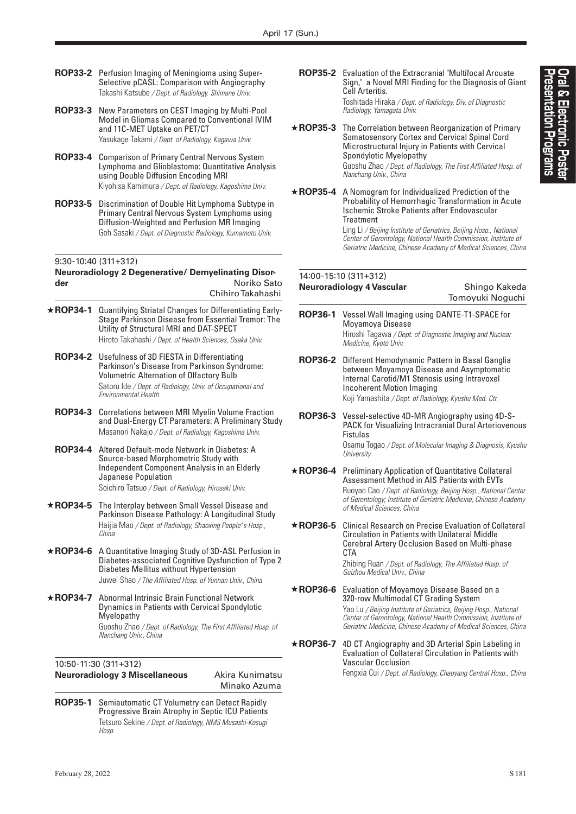- **ROP33-2** Perfusion Imaging of Meningioma using Super-Selective pCASL: Comparison with Angiography Takashi Katsube */ Dept. of Radiology. Shimane Univ.*
- **ROP33-3** New Parameters on CEST Imaging by Multi-Pool Model in Gliomas Compared to Conventional IVIM and 11C-MET Uptake on PET/CT Yasukage Takami */ Dept. of Radiology, Kagawa Univ.*
- **ROP33-4** Comparison of Primary Central Nervous System Lymphoma and Glioblastoma: Quantitative Analysis using Double Diffusion Encoding MRI Kiyohisa Kamimura */ Dept. of Radiology, Kagoshima Univ.*
- **ROP33-5** Discrimination of Double Hit Lymphoma Subtype in Primary Central Nervous System Lymphoma using Diffusion-Weighted and Perfusion MR Imaging Goh Sasaki */ Dept. of Diagnostic Radiology, Kumamoto Univ.*

## 9:30-10:40 (311+312)

#### **Neuroradiology 2 Degenerative/ Demyelinating Disorder** Noriko Sato Chihiro Takahashi

- ★**ROP34-1** Quantifying Striatal Changes for Differentiating Early-Stage Parkinson Disease from Essential Tremor: The Utility of Structural MRI and DAT-SPECT Hiroto Takahashi */ Dept. of Health Sciences, Osaka Univ.*
	- **ROP34-2** Usefulness of 3D FIESTA in Differentiating Parkinson's Disease from Parkinson Syndrome: Volumetric Alternation of Olfactory Bulb Satoru Ide */ Dept. of Radiology, Univ. of Occupational and Environmental Health*
	- **ROP34-3** Correlations between MRI Myelin Volume Fraction and Dual-Energy CT Parameters: A Preliminary Study Masanori Nakajo */ Dept. of Radiology, Kagoshima Univ.*
	- **ROP34-4** Altered Default-mode Network in Diabetes: A Source-based Morphometric Study with Independent Component Analysis in an Elderly Japanese Population Soichiro Tatsuo */ Dept. of Radiology, Hirosaki Univ.*
- ★**ROP34-5** The Interplay between Small Vessel Disease and Parkinson Disease Pathology: A Longitudinal Study Haijia Mao */ Dept. of Radiology, Shaoxing People* '*s Hosp., China*
- ★**ROP34-6** A Quantitative Imaging Study of 3D-ASL Perfusion in Diabetes-associated Cognitive Dysfunction of Type 2 Diabetes Mellitus without Hypertension Juwei Shao */ The Affiliated Hosp. of Yunnan Univ., China*
- ★**ROP34-7** Abnormal Intrinsic Brain Functional Network Dynamics in Patients with Cervical Spondylotic Myelopathy Guoshu Zhao */ Dept. of Radiology, The First Affiliated Hosp. of Nanchang Univ., China*

## 10:50-11:30 (311+312)

# **Neuroradiology 3 Miscellaneous** Akira Kunimatsu

Minako Azuma

**ROP35-1** Semiautomatic CT Volumetry can Detect Rapidly Progressive Brain Atrophy in Septic ICU Patients Tetsuro Sekine */ Dept. of Radiology, NMS Musashi-Kosugi Hosp.*

**ROP35-2** Evaluation of the Extracranial "Multifocal Arcuate Sign," a Novel MRI Finding for the Diagnosis of Giant Cell Arteritis. Toshitada Hiraka */ Dept. of Radiology, Div. of Diagnostic Radiology, Yamagata Univ.*

★**ROP35-3** The Correlation between Reorganization of Primary Somatosensory Cortex and Cervical Spinal Cord Microstructural Injury in Patients with Cervical Spondylotic Myelopathy Guoshu Zhao */ Dept. of Radiology, The First Affiliated Hosp. of Nanchang Univ., China*

★**ROP35-4** A Nomogram for Individualized Prediction of the Probability of Hemorrhagic Transformation in Acute Ischemic Stroke Patients after Endovascular Treatment

Ling Li */ Beijing Institute of Geriatrics, Beijing Hosp., National Center of Gerontology, National Health Commission, Institute of Geriatric Medicine, Chinese Academy of Medical Sciences, China*

Tomoyuki Noguchi

## 14:00-15:10 (311+312) **Neuroradiology 4 Vascular <b>Shingo Kakeda**

- **ROP36-1** Vessel Wall Imaging using DANTE-T1-SPACE for Moyamoya Disease Hiroshi Tagawa */ Dept. of Diagnostic Imaging and Nuclear Medicine, Kyoto Univ.*
- **ROP36-2** Different Hemodynamic Pattern in Basal Ganglia between Moyamoya Disease and Asymptomatic Internal Carotid/M1 Stenosis using Intravoxel Incoherent Motion Imaging Koji Yamashita */ Dept. of Radiology, Kyushu Med. Ctr.*
- **ROP36-3** Vessel-selective 4D-MR Angiography using 4D-S-PACK for Visualizing Intracranial Dural Arteriovenous Fistulas Osamu Togao */ Dept. of Molecular Imaging & Diagnosis, Kyushu University*
- ★**ROP36-4** Preliminary Application of Quantitative Collateral Assessment Method in AIS Patients with EVTs Ruoyao Cao */ Dept. of Radiology, Beijing Hosp., National Center of Gerontology; Institute of Geriatric Medicine, Chinese Academy of Medical Sciences, China*
- ★**ROP36-5** Clinical Research on Precise Evaluation of Collateral Circulation in Patients with Unilateral Middle Cerebral Artery Occlusion Based on Multi-phase **CTA**

Zhibing Ruan */ Dept. of Radiology, The Affiliated Hosp. of Guizhou Medical Univ., China*

- ★**ROP36-6** Evaluation of Moyamoya Disease Based on a 320-row Multimodal CT Grading System Yao Lu */ Beijing Institute of Geriatrics, Beijing Hosp., National Center of Gerontology, National Health Commission, Institute of Geriatric Medicine, Chinese Academy of Medical Sciences, China*
- ★**ROP36-7** 4D CT Angiography and 3D Arterial Spin Labeling in Evaluation of Collateral Circulation in Patients with Vascular Occlusion Fengxia Cui */ Dept. of Radiology, Chaoyang Central Hosp., China*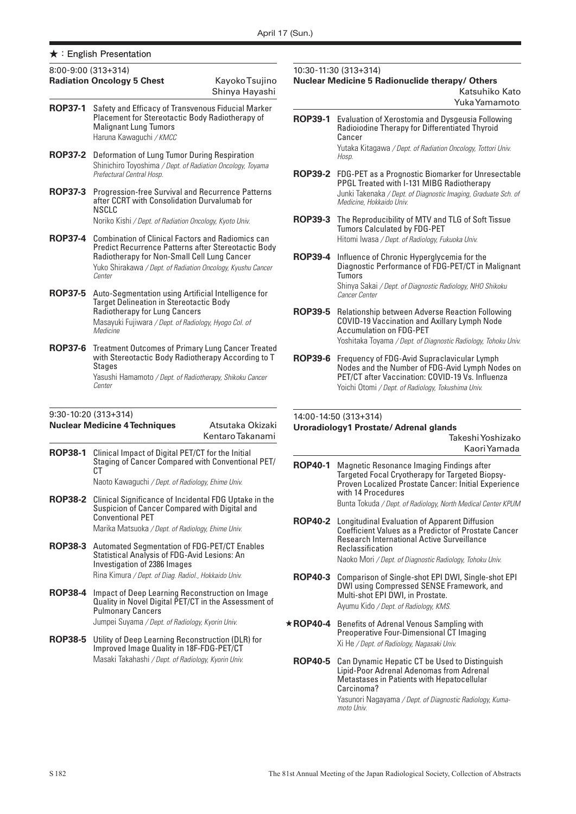|                | $8:00-9:00(313+314)$<br><b>Radiation Oncology 5 Chest</b>                                                                                                                                                                               | Kayoko Tsujino<br>Shinya Hayashi |
|----------------|-----------------------------------------------------------------------------------------------------------------------------------------------------------------------------------------------------------------------------------------|----------------------------------|
| <b>ROP37-1</b> | Safety and Efficacy of Transvenous Fiducial Marker<br>Placement for Stereotactic Body Radiotherapy of<br><b>Malignant Lung Tumors</b><br>Haruna Kawaguchi / KMCC                                                                        |                                  |
| <b>ROP37-2</b> | Deformation of Lung Tumor During Respiration<br>Shinichiro Toyoshima / Dept. of Radiation Oncology, Toyama<br>Prefectural Central Hosp.                                                                                                 |                                  |
| <b>ROP37-3</b> | <b>Progression-free Survival and Recurrence Patterns</b><br>after CCRT with Consolidation Durvalumab for<br>NSCLC<br>Noriko Kishi / Dept. of Radiation Oncology, Kyoto Univ.                                                            |                                  |
| <b>ROP37-4</b> | <b>Combination of Clinical Factors and Radiomics can</b><br>Predict Recurrence Patterns after Stereotactic Body<br>Radiotherapy for Non-Small Cell Lung Cancer<br>Yuko Shirakawa / Dept. of Radiation Oncology, Kyushu Cancer<br>Center |                                  |
| <b>ROP37-5</b> | Auto-Segmentation using Artificial Intelligence for<br><b>Target Delineation in Stereotactic Body</b><br>Radiotherapy for Lung Cancers<br>Masayuki Fujiwara / Dept. of Radiology, Hyogo Col. of<br>Medicine                             |                                  |
| <b>ROP37-6</b> | <b>Treatment Outcomes of Primary Lung Cancer Treated</b><br>with Stereotactic Body Radiotherapy According to T<br>Stages<br>Yasushi Hamamoto / Dept. of Radiotherapy, Shikoku Cancer<br>Center                                          |                                  |

### 9:30-10:20 (313+314)

|                | <b>Nuclear Medicine 4 Techniques</b>                                                                                                                                                        | Atsutaka Okizaki<br>Kentaro Takanami | <b>Uroradiol</b> |
|----------------|---------------------------------------------------------------------------------------------------------------------------------------------------------------------------------------------|--------------------------------------|------------------|
| <b>ROP38-1</b> | Clinical Impact of Digital PET/CT for the Initial<br>Staging of Cancer Compared with Conventional PET/<br>СT                                                                                |                                      | <b>ROP40-1</b>   |
|                | Naoto Kawaguchi / Dept. of Radiology, Ehime Univ.                                                                                                                                           |                                      |                  |
| <b>ROP38-2</b> | Clinical Significance of Incidental FDG Uptake in the<br>Suspicion of Cancer Compared with Digital and<br><b>Conventional PET</b><br>Marika Matsuoka / Dept. of Radiology, Ehime Univ.      |                                      | <b>ROP40-2</b>   |
| <b>ROP38-3</b> | <b>Automated Segmentation of FDG-PET/CT Enables</b><br>Statistical Analysis of FDG-Avid Lesions: An<br>Investigation of 2386 Images<br>Rina Kimura / Dept. of Diag. Radiol., Hokkaido Univ. |                                      | <b>ROP40-3</b>   |
| <b>ROP38-4</b> | Impact of Deep Learning Reconstruction on Image<br>Quality in Novel Digital PET/CT in the Assessment of<br><b>Pulmonary Cancers</b><br>Jumpei Suyama / Dept. of Radiology, Kyorin Univ.     |                                      | $\star$ ROP40-4  |
| <b>ROP38-5</b> | Utility of Deep Learning Reconstruction (DLR) for<br>Improved Image Quality in 18F-FDG-PET/CT<br>Masaki Takahashi / Dept. of Radiology, Kyorin Univ.                                        |                                      | <b>ROP40-5</b>   |
|                |                                                                                                                                                                                             |                                      |                  |

10:30-11:30 (313+314) **Nuclear Medicine 5 Radionuclide therapy/ Others** 

> Katsuhiko Kato Yuka Yamamoto

- **ROP39-1** Evaluation of Xerostomia and Dysgeusia Following Radioiodine Therapy for Differentiated Thyroid Cancer Yutaka Kitagawa */ Dept. of Radiation Oncology, Tottori Univ. Hosp.* **ROP39-2** FDG-PET as a Prognostic Biomarker for Unresectable
- PPGL Treated with I-131 MIBG Radiotherapy Junki Takenaka */ Dept. of Diagnostic Imaging, Graduate Sch. of Medicine, Hokkaido Univ.*
- **ROP39-3** The Reproducibility of MTV and TLG of Soft Tissue Tumors Calculated by FDG-PET Hitomi Iwasa */ Dept. of Radiology, Fukuoka Univ.*
- **ROP39-4** Influence of Chronic Hyperglycemia for the Diagnostic Performance of FDG-PET/CT in Malignant Tumors Shinya Sakai */ Dept. of Diagnostic Radiology, NHO Shikoku Cancer Center*
- **ROP39-5** Relationship between Adverse Reaction Following COVID-19 Vaccination and Axillary Lymph Node Accumulation on FDG-PET Yoshitaka Toyama */ Dept. of Diagnostic Radiology, Tohoku Univ.*
- **ROP39-6** Frequency of FDG-Avid Supraclavicular Lymph Nodes and the Number of FDG-Avid Lymph Nodes on PET/CT after Vaccination: COVID-19 Vs. Influenza Yoichi Otomi */ Dept. of Radiology, Tokushima Univ.*

# 14:00-14:50 (313+314) **Uroradiology1 Prostate/ Adrenal glands**

| Takeshi Yoshizako                                                                                                                                                          |  |
|----------------------------------------------------------------------------------------------------------------------------------------------------------------------------|--|
| Kaori Yamada                                                                                                                                                               |  |
| Magnetic Resonance Imaging Findings after<br>Targeted Focal Cryotherapy for Targeted Biopsy-<br>Proven Localized Prostate Cancer: Initial Experience<br>with 14 Procedures |  |

Takeshi Yoshizako

- Bunta Tokuda */ Dept. of Radiology, North Medical Center KPUM* **ROP40-2** Longitudinal Evaluation of Apparent Diffusion Coefficient Values as a Predictor of Prostate Cancer
- Research International Active Surveillance Reclassification Naoko Mori */ Dept. of Diagnostic Radiology, Tohoku Univ.*
- **ROP40-3** Comparison of Single-shot EPI DWI, Single-shot EPI DWI using Compressed SENSE Framework, and Multi-shot EPI DWI, in Prostate. Ayumu Kido */ Dept. of Radiology, KMS.*
- **ROP40-4** Benefits of Adrenal Venous Sampling with Preoperative Four-Dimensional CT Imaging Xi He */ Dept. of Radiology, Nagasaki Univ.*
	- **ROP40-5** Can Dynamic Hepatic CT be Used to Distinguish Lipid-Poor Adrenal Adenomas from Adrenal Metastases in Patients with Hepatocellular Carcinoma? Yasunori Nagayama */ Dept. of Diagnostic Radiology, Kuma-*

*moto Univ.*